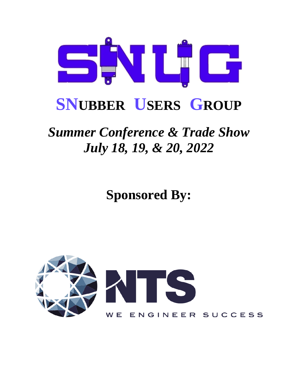

# **SNUBBER USERS GROUP**

## *Summer Conference & Trade Show July 18, 19, & 20, 2022*

**Sponsored By:**

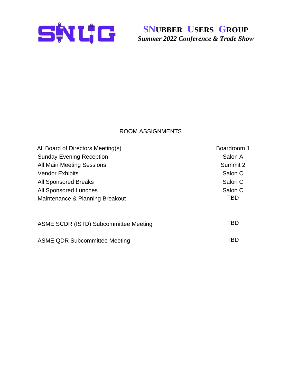

#### ROOM ASSIGNMENTS

| All Board of Directors Meeting(s)     | Boardroom 1 |
|---------------------------------------|-------------|
| <b>Sunday Evening Reception</b>       | Salon A     |
| All Main Meeting Sessions             | Summit 2    |
| <b>Vendor Exhibits</b>                | Salon C     |
| <b>All Sponsored Breaks</b>           | Salon C     |
| <b>All Sponsored Lunches</b>          | Salon C     |
| Maintenance & Planning Breakout       | TBD         |
| ASME SCDR (ISTD) Subcommittee Meeting | TBD         |
| <b>ASME QDR Subcommittee Meeting</b>  | TBD         |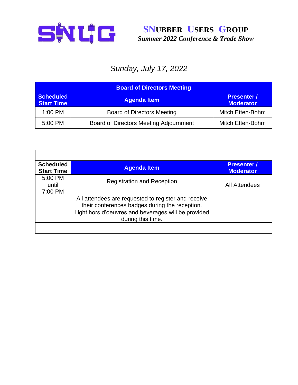

## *Sunday, July 17, 2022*

| <b>Board of Directors Meeting</b>     |                                               |                                        |
|---------------------------------------|-----------------------------------------------|----------------------------------------|
| <b>Scheduled</b><br><b>Start Time</b> | <b>Agenda Item</b>                            | <b>Presenter /</b><br><b>Moderator</b> |
| 1:00 PM                               | <b>Board of Directors Meeting</b>             | Mitch Etten-Bohm                       |
| 5:00 PM                               | <b>Board of Directors Meeting Adjournment</b> | Mitch Etten-Bohm                       |

| <b>Scheduled</b><br><b>Start Time</b> | <b>Agenda Item</b>                                                                                    | <b>Presenter /</b><br><b>Moderator</b> |
|---------------------------------------|-------------------------------------------------------------------------------------------------------|----------------------------------------|
| 5:00 PM<br>until<br>7:00 PM           | <b>Registration and Reception</b>                                                                     | <b>All Attendees</b>                   |
|                                       | All attendees are requested to register and receive<br>their conferences badges during the reception. |                                        |
|                                       | Light hors d'oeuvres and beverages will be provided<br>during this time.                              |                                        |
|                                       |                                                                                                       |                                        |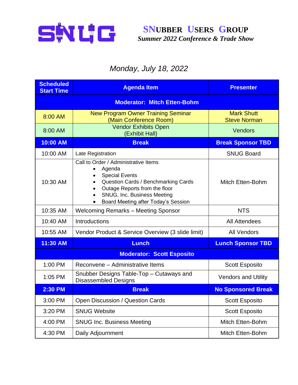

## *Monday, July 18, 2022*

| <b>Scheduled</b><br><b>Start Time</b> | <b>Agenda Item</b>                                                                                                                                                                                                                 | <b>Presenter</b>                         |  |
|---------------------------------------|------------------------------------------------------------------------------------------------------------------------------------------------------------------------------------------------------------------------------------|------------------------------------------|--|
| <b>Moderator: Mitch Etten-Bohm</b>    |                                                                                                                                                                                                                                    |                                          |  |
| 8:00 AM                               | <b>New Program Owner Training Seminar</b><br>(Main Conference Room)                                                                                                                                                                | <b>Mark Shutt</b><br><b>Steve Norman</b> |  |
| 8:00 AM                               | <b>Vendor Exhibits Open</b><br>(Exhibit Hall)                                                                                                                                                                                      | <b>Vendors</b>                           |  |
| 10:00 AM                              | <b>Break</b>                                                                                                                                                                                                                       | <b>Break Sponsor TBD</b>                 |  |
| 10:00 AM                              | Late Registration                                                                                                                                                                                                                  | <b>SNUG Board</b>                        |  |
| 10:30 AM                              | Call to Order / Administrative Items<br>Agenda<br>$\bullet$<br><b>Special Events</b><br>Question Cards / Benchmarking Cards<br>Outage Reports from the floor<br>SNUG, Inc. Business Meeting<br>Board Meeting after Today's Session | <b>Mitch Etten-Bohm</b>                  |  |
| 10:35 AM                              | <b>Welcoming Remarks - Meeting Sponsor</b>                                                                                                                                                                                         | <b>NTS</b>                               |  |
| 10:40 AM                              | Introductions                                                                                                                                                                                                                      | <b>All Attendees</b>                     |  |
| 10:55 AM                              | Vendor Product & Service Overview (3 slide limit)                                                                                                                                                                                  | <b>All Vendors</b>                       |  |
| 11:30 AM                              | <b>Lunch</b>                                                                                                                                                                                                                       | <b>Lunch Sponsor TBD</b>                 |  |
| <b>Moderator: Scott Esposito</b>      |                                                                                                                                                                                                                                    |                                          |  |
| 1:00 PM                               | Reconvene – Administrative Items                                                                                                                                                                                                   | <b>Scott Esposito</b>                    |  |
| 1:05 PM                               | Snubber Designs Table-Top - Cutaways and<br><b>Disassembled Designs</b>                                                                                                                                                            | <b>Vendors and Utility</b>               |  |
| 2:30 PM                               | <b>Break</b>                                                                                                                                                                                                                       | <b>No Sponsored Break</b>                |  |
| 3:00 PM                               | Open Discussion / Question Cards                                                                                                                                                                                                   | <b>Scott Esposito</b>                    |  |
| 3:20 PM                               | <b>SNUG Website</b>                                                                                                                                                                                                                | <b>Scott Esposito</b>                    |  |
| 4:00 PM                               | <b>SNUG Inc. Business Meeting</b>                                                                                                                                                                                                  | Mitch Etten-Bohm                         |  |
| 4:30 PM                               | Daily Adjournment                                                                                                                                                                                                                  | Mitch Etten-Bohm                         |  |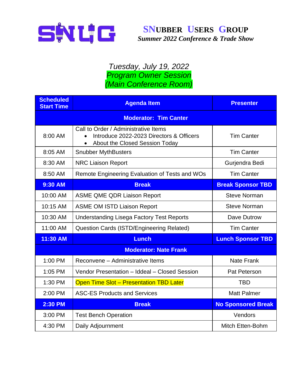

#### *Tuesday, July 19, 2022 Program Owner Session (Main Conference Room)*

| <b>Scheduled</b><br><b>Start Time</b> | <b>Agenda Item</b>                                                                                                 | <b>Presenter</b>          |
|---------------------------------------|--------------------------------------------------------------------------------------------------------------------|---------------------------|
| <b>Moderator: Tim Canter</b>          |                                                                                                                    |                           |
| 8:00 AM                               | Call to Order / Administrative Items<br>Introduce 2022-2023 Directors & Officers<br>About the Closed Session Today | <b>Tim Canter</b>         |
| 8:05 AM                               | <b>Snubber MythBusters</b>                                                                                         | <b>Tim Canter</b>         |
| 8:30 AM                               | <b>NRC Liaison Report</b>                                                                                          | Gurjendra Bedi            |
| 8:50 AM                               | Remote Engineering Evaluation of Tests and WOs                                                                     | <b>Tim Canter</b>         |
| 9:30 AM                               | <b>Break</b>                                                                                                       | <b>Break Sponsor TBD</b>  |
| 10:00 AM                              | <b>ASME QME QDR Liaison Report</b>                                                                                 | <b>Steve Norman</b>       |
| 10:15 AM                              | <b>ASME OM ISTD Liaison Report</b>                                                                                 | <b>Steve Norman</b>       |
| 10:30 AM                              | <b>Understanding Lisega Factory Test Reports</b>                                                                   | Dave Dutrow               |
| 11:00 AM                              | Question Cards (ISTD/Engineering Related)                                                                          | <b>Tim Canter</b>         |
| 11:30 AM                              | <b>Lunch</b>                                                                                                       | <b>Lunch Sponsor TBD</b>  |
|                                       | <b>Moderator: Nate Frank</b>                                                                                       |                           |
| 1:00 PM                               | Reconvene - Administrative Items                                                                                   | <b>Nate Frank</b>         |
| 1:05 PM                               | Vendor Presentation - Iddeal - Closed Session                                                                      | Pat Peterson              |
| 1:30 PM                               | <b>Open Time Slot - Presentation TBD Later</b>                                                                     | <b>TBD</b>                |
| 2:00 PM                               | <b>ASC-ES Products and Services</b>                                                                                | <b>Matt Palmer</b>        |
| 2:30 PM                               | <b>Break</b>                                                                                                       | <b>No Sponsored Break</b> |
| 3:00 PM                               | <b>Test Bench Operation</b>                                                                                        | Vendors                   |
| 4:30 PM                               | Daily Adjournment                                                                                                  | Mitch Etten-Bohm          |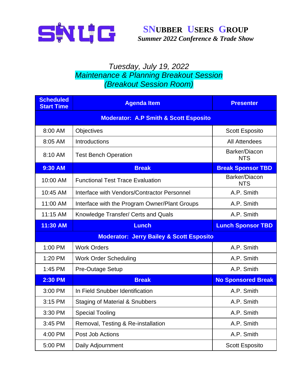

#### *Tuesday, July 19, 2022 Maintenance & Planning Breakout Session (Breakout Session Room)*

| <b>Scheduled</b><br><b>Start Time</b>            | <b>Agenda Item</b>                                  | <b>Presenter</b>            |
|--------------------------------------------------|-----------------------------------------------------|-----------------------------|
| <b>Moderator: A.P Smith &amp; Scott Esposito</b> |                                                     |                             |
| 8:00 AM                                          | <b>Objectives</b>                                   | <b>Scott Esposito</b>       |
| 8:05 AM                                          | Introductions                                       | <b>All Attendees</b>        |
| 8:10 AM                                          | <b>Test Bench Operation</b>                         | Barker/Diacon<br><b>NTS</b> |
| 9:30 AM                                          | <b>Break</b>                                        | <b>Break Sponsor TBD</b>    |
| 10:00 AM                                         | <b>Functional Test Trace Evaluation</b>             | Barker/Diacon<br><b>NTS</b> |
| 10:45 AM                                         | Interface with Vendors/Contractor Personnel         | A.P. Smith                  |
| 11:00 AM                                         | Interface with the Program Owner/Plant Groups       | A.P. Smith                  |
| 11:15 AM                                         | Knowledge Transfer/ Certs and Quals                 | A.P. Smith                  |
| 11:30 AM                                         | Lunch                                               | <b>Lunch Sponsor TBD</b>    |
|                                                  |                                                     |                             |
|                                                  | <b>Moderator: Jerry Bailey &amp; Scott Esposito</b> |                             |
| 1:00 PM                                          | <b>Work Orders</b>                                  | A.P. Smith                  |
| 1:20 PM                                          | <b>Work Order Scheduling</b>                        | A.P. Smith                  |
| 1:45 PM                                          | Pre-Outage Setup                                    | A.P. Smith                  |
| <b>2:30 PM</b>                                   | <b>Break</b>                                        | <b>No Sponsored Break</b>   |
| 3:00 PM                                          | In Field Snubber Identification                     | A.P. Smith                  |
| 3:15 PM                                          | <b>Staging of Material &amp; Snubbers</b>           | A.P. Smith                  |
| 3:30 PM                                          | <b>Special Tooling</b>                              | A.P. Smith                  |
| 3:45 PM                                          | Removal, Testing & Re-installation                  | A.P. Smith                  |
| 4:00 PM                                          | Post Job Actions                                    | A.P. Smith                  |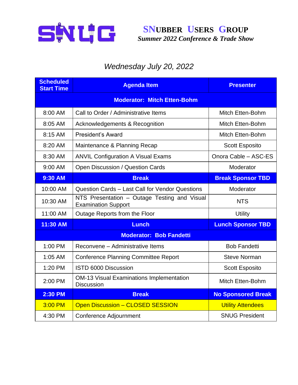

## *Wednesday July 20, 2022*

| <b>Scheduled</b><br><b>Start Time</b> | <b>Agenda Item</b>                                                         | <b>Presenter</b>          |  |
|---------------------------------------|----------------------------------------------------------------------------|---------------------------|--|
|                                       | <b>Moderator: Mitch Etten-Bohm</b>                                         |                           |  |
| 8:00 AM                               | Call to Order / Administrative Items                                       | Mitch Etten-Bohm          |  |
| 8:05 AM                               | <b>Acknowledgements &amp; Recognition</b>                                  | Mitch Etten-Bohm          |  |
| 8:15 AM                               | <b>President's Award</b>                                                   | Mitch Etten-Bohm          |  |
| 8:20 AM                               | Maintenance & Planning Recap                                               | <b>Scott Esposito</b>     |  |
| 8:30 AM                               | <b>ANVIL Configuration A Visual Exams</b>                                  | Onora Cable - ASC-ES      |  |
| 9:00 AM                               | Open Discussion / Question Cards                                           | Moderator                 |  |
| 9:30 AM                               | <b>Break</b>                                                               | <b>Break Sponsor TBD</b>  |  |
| 10:00 AM                              | Question Cards - Last Call for Vendor Questions                            | Moderator                 |  |
| 10:30 AM                              | NTS Presentation - Outage Testing and Visual<br><b>Examination Support</b> | <b>NTS</b>                |  |
| 11:00 AM                              | Outage Reports from the Floor                                              | <b>Utility</b>            |  |
| 11:30 AM                              | <b>Lunch</b>                                                               | <b>Lunch Sponsor TBD</b>  |  |
| <b>Moderator: Bob Fandetti</b>        |                                                                            |                           |  |
| 1:00 PM                               | Reconvene - Administrative Items                                           | <b>Bob Fandetti</b>       |  |
| 1:05 AM                               | <b>Conference Planning Committee Report</b>                                | <b>Steve Norman</b>       |  |
| 1:20 PM                               | ISTD 6000 Discussion                                                       | <b>Scott Esposito</b>     |  |
| 2:00 PM                               | <b>OM-13 Visual Examinations Implementation</b><br><b>Discussion</b>       | Mitch Etten-Bohm          |  |
| <b>2:30 PM</b>                        | <b>Break</b>                                                               | <b>No Sponsored Break</b> |  |
| 3:00 PM                               | <b>Open Discussion - CLOSED SESSION</b>                                    | <b>Utility Attendees</b>  |  |
| 4:30 PM                               | Conference Adjournment                                                     | <b>SNUG President</b>     |  |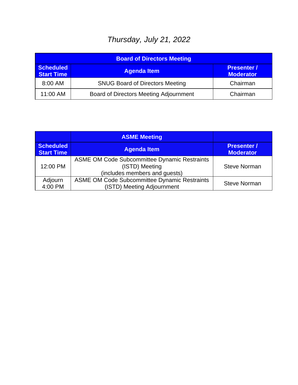## *Thursday, July 21, 2022*

| <b>Board of Directors Meeting</b>     |                                               |                                        |
|---------------------------------------|-----------------------------------------------|----------------------------------------|
| <b>Scheduled</b><br><b>Start Time</b> | <b>Agenda Item</b>                            | <b>Presenter /</b><br><b>Moderator</b> |
| 8:00 AM                               | <b>SNUG Board of Directors Meeting</b>        | Chairman                               |
| 11:00 AM                              | <b>Board of Directors Meeting Adjournment</b> | Chairman                               |

|                                       | <b>ASME Meeting</b>                                                                                    |                                        |
|---------------------------------------|--------------------------------------------------------------------------------------------------------|----------------------------------------|
| <b>Scheduled</b><br><b>Start Time</b> | <b>Agenda Item</b>                                                                                     | <b>Presenter /</b><br><b>Moderator</b> |
| 12:00 PM                              | <b>ASME OM Code Subcommittee Dynamic Restraints</b><br>(ISTD) Meeting<br>(includes members and guests) | <b>Steve Norman</b>                    |
| Adjourn<br>4:00 PM                    | <b>ASME OM Code Subcommittee Dynamic Restraints</b><br>(ISTD) Meeting Adjournment                      | <b>Steve Norman</b>                    |